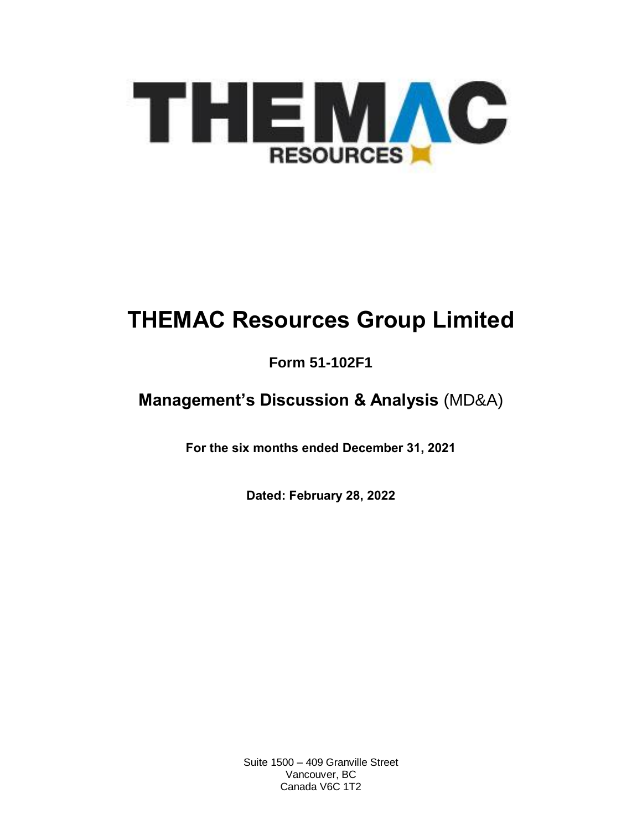

# **THEMAC Resources Group Limited**

# **Form 51-102F1**

# **Management's Discussion & Analysis** (MD&A)

**For the six months ended December 31, 2021**

**Dated: February 28, 2022**

Suite 1500 – 409 Granville Street Vancouver, BC Canada V6C 1T2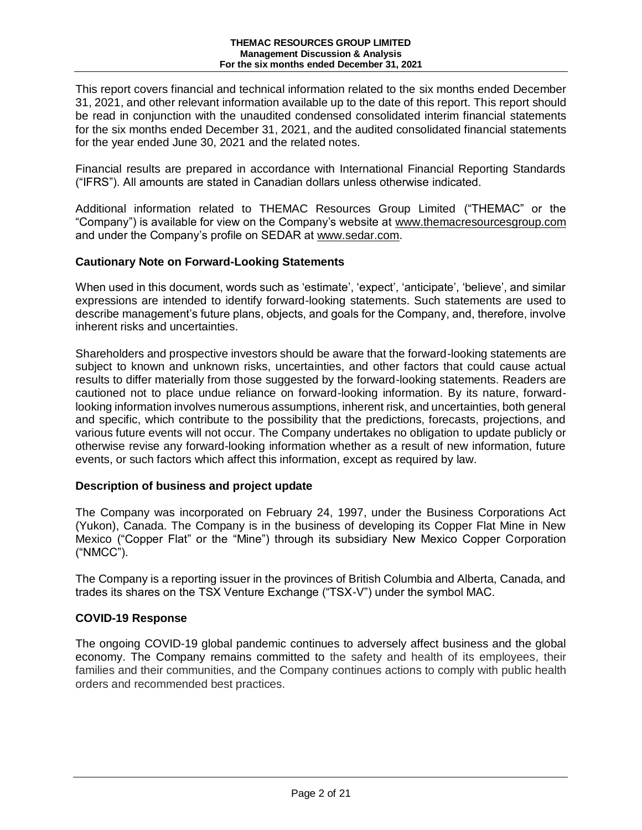This report covers financial and technical information related to the six months ended December 31, 2021, and other relevant information available up to the date of this report. This report should be read in conjunction with the unaudited condensed consolidated interim financial statements for the six months ended December 31, 2021, and the audited consolidated financial statements for the year ended June 30, 2021 and the related notes.

Financial results are prepared in accordance with International Financial Reporting Standards ("IFRS"). All amounts are stated in Canadian dollars unless otherwise indicated.

Additional information related to THEMAC Resources Group Limited ("THEMAC" or the "Company") is available for view on the Company's website at [www.themacresourcesgroup.com](http://www.themacresourcesgroup.com/) and under the Company's profile on SEDAR at [www.sedar.com.](http://www.sedar.com/)

# **Cautionary Note on Forward-Looking Statements**

When used in this document, words such as 'estimate', 'expect', 'anticipate', 'believe', and similar expressions are intended to identify forward-looking statements. Such statements are used to describe management's future plans, objects, and goals for the Company, and, therefore, involve inherent risks and uncertainties.

Shareholders and prospective investors should be aware that the forward-looking statements are subject to known and unknown risks, uncertainties, and other factors that could cause actual results to differ materially from those suggested by the forward-looking statements. Readers are cautioned not to place undue reliance on forward-looking information. By its nature, forwardlooking information involves numerous assumptions, inherent risk, and uncertainties, both general and specific, which contribute to the possibility that the predictions, forecasts, projections, and various future events will not occur. The Company undertakes no obligation to update publicly or otherwise revise any forward-looking information whether as a result of new information, future events, or such factors which affect this information, except as required by law.

# **Description of business and project update**

The Company was incorporated on February 24, 1997, under the Business Corporations Act (Yukon), Canada. The Company is in the business of developing its Copper Flat Mine in New Mexico ("Copper Flat" or the "Mine") through its subsidiary New Mexico Copper Corporation ("NMCC").

The Company is a reporting issuer in the provinces of British Columbia and Alberta, Canada, and trades its shares on the TSX Venture Exchange ("TSX-V") under the symbol MAC.

# **COVID-19 Response**

The ongoing COVID-19 global pandemic continues to adversely affect business and the global economy. The Company remains committed to the safety and health of its employees, their families and their communities, and the Company continues actions to comply with public health orders and recommended best practices.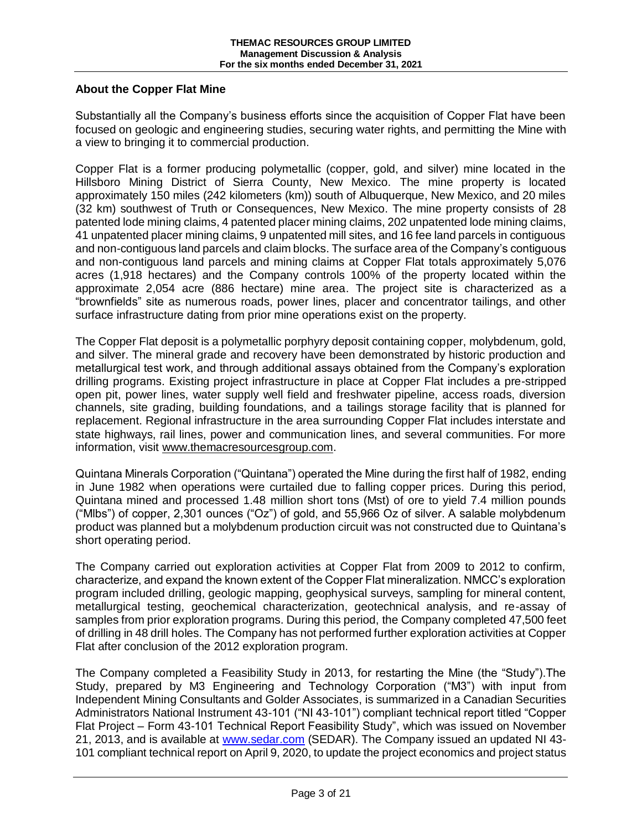# **About the Copper Flat Mine**

Substantially all the Company's business efforts since the acquisition of Copper Flat have been focused on geologic and engineering studies, securing water rights, and permitting the Mine with a view to bringing it to commercial production.

Copper Flat is a former producing polymetallic (copper, gold, and silver) mine located in the Hillsboro Mining District of Sierra County, New Mexico. The mine property is located approximately 150 miles (242 kilometers (km)) south of Albuquerque, New Mexico, and 20 miles (32 km) southwest of Truth or Consequences, New Mexico. The mine property consists of 28 patented lode mining claims, 4 patented placer mining claims, 202 unpatented lode mining claims, 41 unpatented placer mining claims, 9 unpatented mill sites, and 16 fee land parcels in contiguous and non-contiguous land parcels and claim blocks. The surface area of the Company's contiguous and non-contiguous land parcels and mining claims at Copper Flat totals approximately 5,076 acres (1,918 hectares) and the Company controls 100% of the property located within the approximate 2,054 acre (886 hectare) mine area. The project site is characterized as a "brownfields" site as numerous roads, power lines, placer and concentrator tailings, and other surface infrastructure dating from prior mine operations exist on the property.

The Copper Flat deposit is a polymetallic porphyry deposit containing copper, molybdenum, gold, and silver. The mineral grade and recovery have been demonstrated by historic production and metallurgical test work, and through additional assays obtained from the Company's exploration drilling programs. Existing project infrastructure in place at Copper Flat includes a pre-stripped open pit, power lines, water supply well field and freshwater pipeline, access roads, diversion channels, site grading, building foundations, and a tailings storage facility that is planned for replacement. Regional infrastructure in the area surrounding Copper Flat includes interstate and state highways, rail lines, power and communication lines, and several communities. For more information, visit [www.themacresourcesgroup.com.](http://www.themacresourcesgroup.com/)

Quintana Minerals Corporation ("Quintana") operated the Mine during the first half of 1982, ending in June 1982 when operations were curtailed due to falling copper prices. During this period, Quintana mined and processed 1.48 million short tons (Mst) of ore to yield 7.4 million pounds ("Mlbs") of copper, 2,301 ounces ("Oz") of gold, and 55,966 Oz of silver. A salable molybdenum product was planned but a molybdenum production circuit was not constructed due to Quintana's short operating period.

The Company carried out exploration activities at Copper Flat from 2009 to 2012 to confirm, characterize, and expand the known extent of the Copper Flat mineralization. NMCC's exploration program included drilling, geologic mapping, geophysical surveys, sampling for mineral content, metallurgical testing, geochemical characterization, geotechnical analysis, and re-assay of samples from prior exploration programs. During this period, the Company completed 47,500 feet of drilling in 48 drill holes. The Company has not performed further exploration activities at Copper Flat after conclusion of the 2012 exploration program.

The Company completed a Feasibility Study in 2013, for restarting the Mine (the "Study").The Study, prepared by M3 Engineering and Technology Corporation ("M3") with input from Independent Mining Consultants and Golder Associates, is summarized in a Canadian Securities Administrators National Instrument 43-101 ("NI 43-101") compliant technical report titled "Copper Flat Project – Form 43-101 Technical Report Feasibility Study", which was issued on November 21, 2013, and is available at [www.sedar.com](http://www.sedar.com/) (SEDAR). The Company issued an updated NI 43- 101 compliant technical report on April 9, 2020, to update the project economics and project status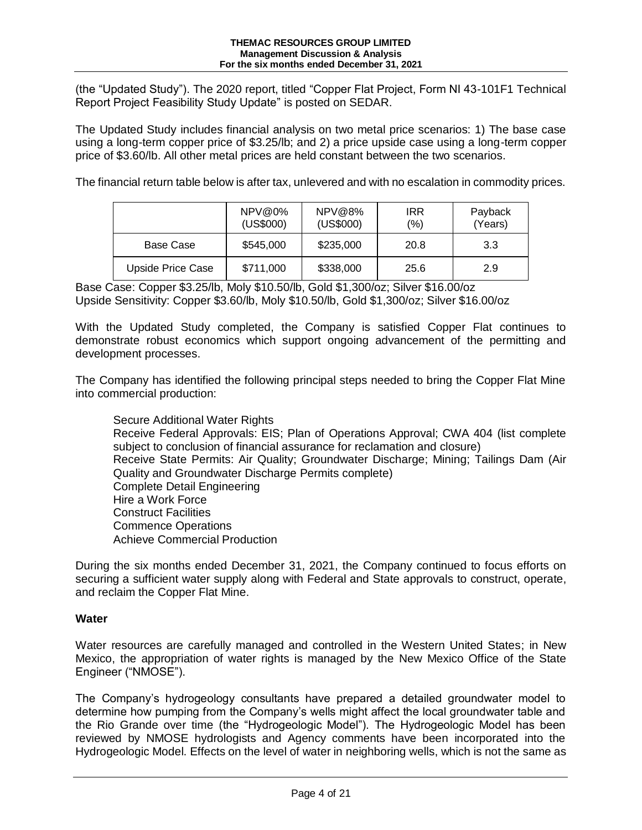(the "Updated Study"). The 2020 report, titled "Copper Flat Project, Form NI 43-101F1 Technical Report Project Feasibility Study Update" is posted on SEDAR.

The Updated Study includes financial analysis on two metal price scenarios: 1) The base case using a long-term copper price of \$3.25/lb; and 2) a price upside case using a long-term copper price of \$3.60/lb. All other metal prices are held constant between the two scenarios.

The financial return table below is after tax, unlevered and with no escalation in commodity prices.

|                   | $NPV@0\%$<br>(US\$000) | NPV@8%<br>(US\$000) | <b>IRR</b><br>$(\% )$ | Payback<br>(Years) |
|-------------------|------------------------|---------------------|-----------------------|--------------------|
| Base Case         | \$545,000              | \$235,000           | 20.8                  | 3.3                |
| Upside Price Case | \$711,000              | \$338,000           | 25.6                  | 2.9                |

Base Case: Copper \$3.25/lb, Moly \$10.50/lb, Gold \$1,300/oz; Silver \$16.00/oz Upside Sensitivity: Copper \$3.60/lb, Moly \$10.50/lb, Gold \$1,300/oz; Silver \$16.00/oz

With the Updated Study completed, the Company is satisfied Copper Flat continues to demonstrate robust economics which support ongoing advancement of the permitting and development processes.

The Company has identified the following principal steps needed to bring the Copper Flat Mine into commercial production:

Secure Additional Water Rights Receive Federal Approvals: EIS; Plan of Operations Approval; CWA 404 (list complete subject to conclusion of financial assurance for reclamation and closure) Receive State Permits: Air Quality; Groundwater Discharge; Mining; Tailings Dam (Air Quality and Groundwater Discharge Permits complete) Complete Detail Engineering Hire a Work Force Construct Facilities Commence Operations Achieve Commercial Production

During the six months ended December 31, 2021, the Company continued to focus efforts on securing a sufficient water supply along with Federal and State approvals to construct, operate, and reclaim the Copper Flat Mine.

# **Water**

Water resources are carefully managed and controlled in the Western United States; in New Mexico, the appropriation of water rights is managed by the New Mexico Office of the State Engineer ("NMOSE").

The Company's hydrogeology consultants have prepared a detailed groundwater model to determine how pumping from the Company's wells might affect the local groundwater table and the Rio Grande over time (the "Hydrogeologic Model"). The Hydrogeologic Model has been reviewed by NMOSE hydrologists and Agency comments have been incorporated into the Hydrogeologic Model. Effects on the level of water in neighboring wells, which is not the same as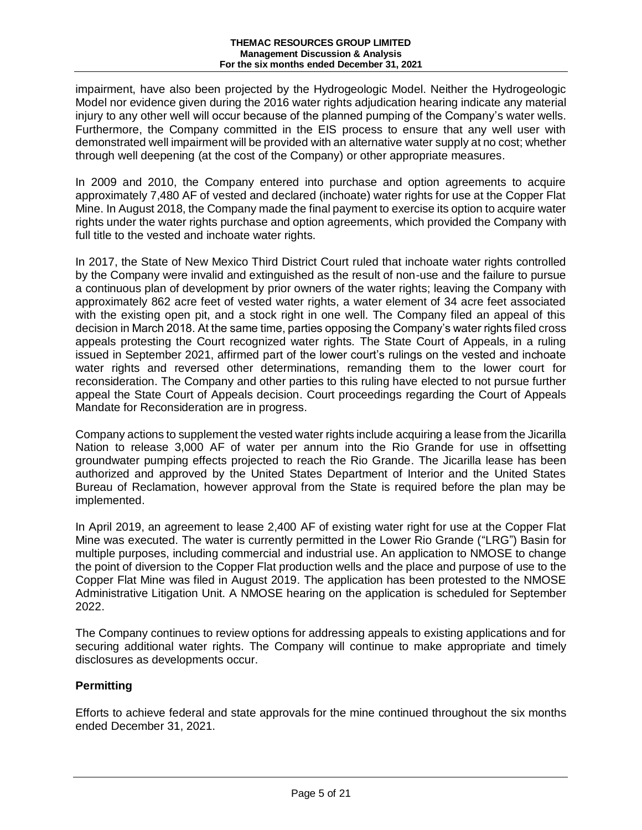impairment, have also been projected by the Hydrogeologic Model. Neither the Hydrogeologic Model nor evidence given during the 2016 water rights adjudication hearing indicate any material injury to any other well will occur because of the planned pumping of the Company's water wells. Furthermore, the Company committed in the EIS process to ensure that any well user with demonstrated well impairment will be provided with an alternative water supply at no cost; whether through well deepening (at the cost of the Company) or other appropriate measures.

In 2009 and 2010, the Company entered into purchase and option agreements to acquire approximately 7,480 AF of vested and declared (inchoate) water rights for use at the Copper Flat Mine. In August 2018, the Company made the final payment to exercise its option to acquire water rights under the water rights purchase and option agreements, which provided the Company with full title to the vested and inchoate water rights.

In 2017, the State of New Mexico Third District Court ruled that inchoate water rights controlled by the Company were invalid and extinguished as the result of non-use and the failure to pursue a continuous plan of development by prior owners of the water rights; leaving the Company with approximately 862 acre feet of vested water rights, a water element of 34 acre feet associated with the existing open pit, and a stock right in one well. The Company filed an appeal of this decision in March 2018. At the same time, parties opposing the Company's water rights filed cross appeals protesting the Court recognized water rights. The State Court of Appeals, in a ruling issued in September 2021, affirmed part of the lower court's rulings on the vested and inchoate water rights and reversed other determinations, remanding them to the lower court for reconsideration. The Company and other parties to this ruling have elected to not pursue further appeal the State Court of Appeals decision. Court proceedings regarding the Court of Appeals Mandate for Reconsideration are in progress.

Company actions to supplement the vested water rights include acquiring a lease from the Jicarilla Nation to release 3,000 AF of water per annum into the Rio Grande for use in offsetting groundwater pumping effects projected to reach the Rio Grande. The Jicarilla lease has been authorized and approved by the United States Department of Interior and the United States Bureau of Reclamation, however approval from the State is required before the plan may be implemented.

In April 2019, an agreement to lease 2,400 AF of existing water right for use at the Copper Flat Mine was executed. The water is currently permitted in the Lower Rio Grande ("LRG") Basin for multiple purposes, including commercial and industrial use. An application to NMOSE to change the point of diversion to the Copper Flat production wells and the place and purpose of use to the Copper Flat Mine was filed in August 2019. The application has been protested to the NMOSE Administrative Litigation Unit. A NMOSE hearing on the application is scheduled for September 2022.

The Company continues to review options for addressing appeals to existing applications and for securing additional water rights. The Company will continue to make appropriate and timely disclosures as developments occur.

# **Permitting**

Efforts to achieve federal and state approvals for the mine continued throughout the six months ended December 31, 2021.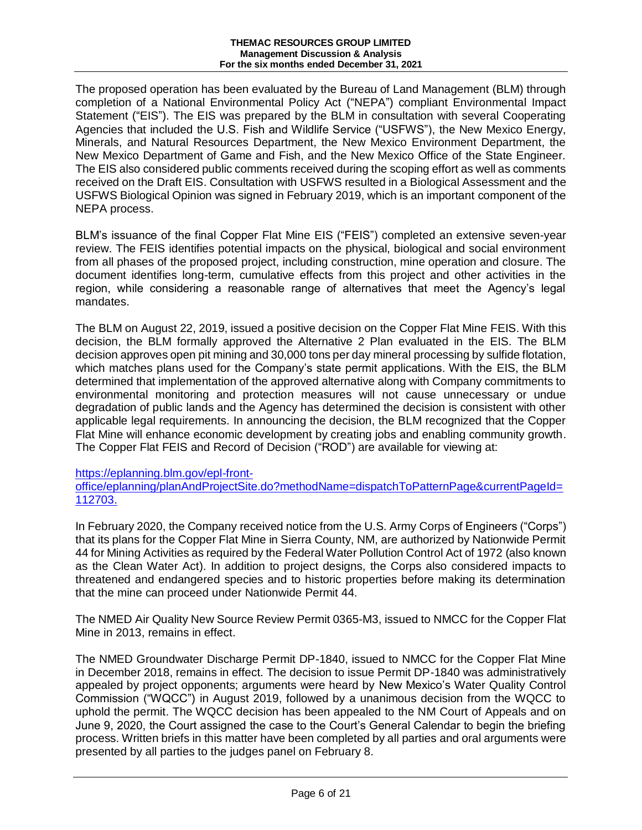The proposed operation has been evaluated by the Bureau of Land Management (BLM) through completion of a National Environmental Policy Act ("NEPA") compliant Environmental Impact Statement ("EIS"). The EIS was prepared by the BLM in consultation with several Cooperating Agencies that included the U.S. Fish and Wildlife Service ("USFWS"), the New Mexico Energy, Minerals, and Natural Resources Department, the New Mexico Environment Department, the New Mexico Department of Game and Fish, and the New Mexico Office of the State Engineer. The EIS also considered public comments received during the scoping effort as well as comments received on the Draft EIS. Consultation with USFWS resulted in a Biological Assessment and the USFWS Biological Opinion was signed in February 2019, which is an important component of the NEPA process.

BLM's issuance of the final Copper Flat Mine EIS ("FEIS") completed an extensive seven-year review. The FEIS identifies potential impacts on the physical, biological and social environment from all phases of the proposed project, including construction, mine operation and closure. The document identifies long-term, cumulative effects from this project and other activities in the region, while considering a reasonable range of alternatives that meet the Agency's legal mandates.

The BLM on August 22, 2019, issued a positive decision on the Copper Flat Mine FEIS. With this decision, the BLM formally approved the Alternative 2 Plan evaluated in the EIS. The BLM decision approves open pit mining and 30,000 tons per day mineral processing by sulfide flotation, which matches plans used for the Company's state permit applications. With the EIS, the BLM determined that implementation of the approved alternative along with Company commitments to environmental monitoring and protection measures will not cause unnecessary or undue degradation of public lands and the Agency has determined the decision is consistent with other applicable legal requirements. In announcing the decision, the BLM recognized that the Copper Flat Mine will enhance economic development by creating jobs and enabling community growth. The Copper Flat FEIS and Record of Decision ("ROD") are available for viewing at:

# [https://eplanning.blm.gov/epl-front-](https://eplanning.blm.gov/epl-front-office/eplanning/planAndProjectSite.do?methodName=dispatchToPatternPage¤tPageId=112703)

[office/eplanning/planAndProjectSite.do?methodName=dispatchToPatternPage&currentPageId=](https://eplanning.blm.gov/epl-front-office/eplanning/planAndProjectSite.do?methodName=dispatchToPatternPage¤tPageId=112703) [112703.](https://eplanning.blm.gov/epl-front-office/eplanning/planAndProjectSite.do?methodName=dispatchToPatternPage¤tPageId=112703)

In February 2020, the Company received notice from the U.S. Army Corps of Engineers ("Corps") that its plans for the Copper Flat Mine in Sierra County, NM, are authorized by Nationwide Permit 44 for Mining Activities as required by the Federal Water Pollution Control Act of 1972 (also known as the Clean Water Act). In addition to project designs, the Corps also considered impacts to threatened and endangered species and to historic properties before making its determination that the mine can proceed under Nationwide Permit 44.

The NMED Air Quality New Source Review Permit 0365-M3, issued to NMCC for the Copper Flat Mine in 2013, remains in effect.

The NMED Groundwater Discharge Permit DP-1840, issued to NMCC for the Copper Flat Mine in December 2018, remains in effect. The decision to issue Permit DP-1840 was administratively appealed by project opponents; arguments were heard by New Mexico's Water Quality Control Commission ("WQCC") in August 2019, followed by a unanimous decision from the WQCC to uphold the permit. The WQCC decision has been appealed to the NM Court of Appeals and on June 9, 2020, the Court assigned the case to the Court's General Calendar to begin the briefing process. Written briefs in this matter have been completed by all parties and oral arguments were presented by all parties to the judges panel on February 8.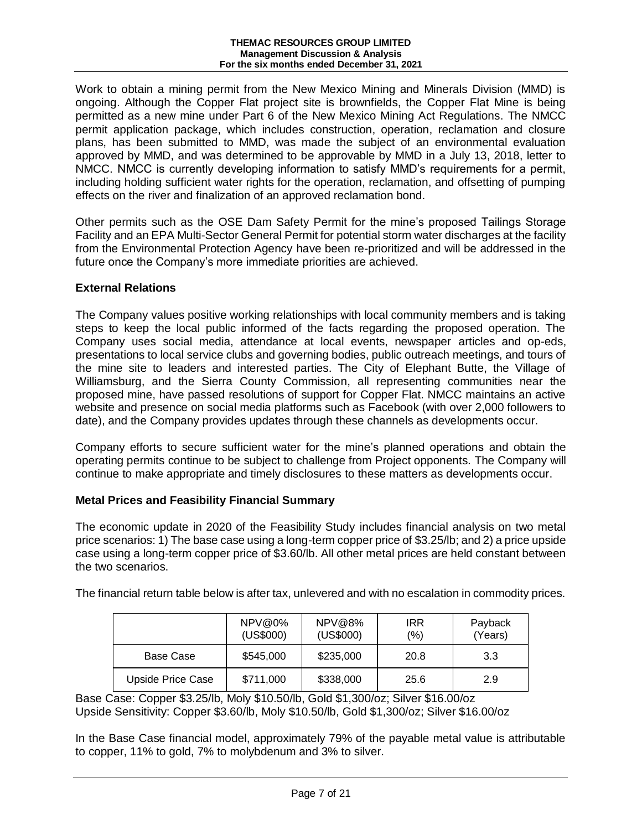Work to obtain a mining permit from the New Mexico Mining and Minerals Division (MMD) is ongoing. Although the Copper Flat project site is brownfields, the Copper Flat Mine is being permitted as a new mine under Part 6 of the New Mexico Mining Act Regulations. The NMCC permit application package, which includes construction, operation, reclamation and closure plans, has been submitted to MMD, was made the subject of an environmental evaluation approved by MMD, and was determined to be approvable by MMD in a July 13, 2018, letter to NMCC. NMCC is currently developing information to satisfy MMD's requirements for a permit, including holding sufficient water rights for the operation, reclamation, and offsetting of pumping effects on the river and finalization of an approved reclamation bond.

Other permits such as the OSE Dam Safety Permit for the mine's proposed Tailings Storage Facility and an EPA Multi-Sector General Permit for potential storm water discharges at the facility from the Environmental Protection Agency have been re-prioritized and will be addressed in the future once the Company's more immediate priorities are achieved.

# **External Relations**

The Company values positive working relationships with local community members and is taking steps to keep the local public informed of the facts regarding the proposed operation. The Company uses social media, attendance at local events, newspaper articles and op-eds, presentations to local service clubs and governing bodies, public outreach meetings, and tours of the mine site to leaders and interested parties. The City of Elephant Butte, the Village of Williamsburg, and the Sierra County Commission, all representing communities near the proposed mine, have passed resolutions of support for Copper Flat. NMCC maintains an active website and presence on social media platforms such as Facebook (with over 2,000 followers to date), and the Company provides updates through these channels as developments occur.

Company efforts to secure sufficient water for the mine's planned operations and obtain the operating permits continue to be subject to challenge from Project opponents. The Company will continue to make appropriate and timely disclosures to these matters as developments occur.

# **Metal Prices and Feasibility Financial Summary**

The economic update in 2020 of the Feasibility Study includes financial analysis on two metal price scenarios: 1) The base case using a long-term copper price of \$3.25/lb; and 2) a price upside case using a long-term copper price of \$3.60/lb. All other metal prices are held constant between the two scenarios.

| The financial return table below is after tax, unlevered and with no escalation in commodity prices. |  |  |  |
|------------------------------------------------------------------------------------------------------|--|--|--|
|                                                                                                      |  |  |  |

|                   | NPV@0%<br>(US\$000) | NPV@8%<br>(US\$000) | <b>IRR</b><br>$(\% )$ | Payback<br>(Years) |
|-------------------|---------------------|---------------------|-----------------------|--------------------|
| Base Case         | \$545,000           | \$235,000           | 20.8                  | 3.3                |
| Upside Price Case | \$711,000           | \$338,000           | 25.6                  | 2.9                |

Base Case: Copper \$3.25/lb, Moly \$10.50/lb, Gold \$1,300/oz; Silver \$16.00/oz Upside Sensitivity: Copper \$3.60/lb, Moly \$10.50/lb, Gold \$1,300/oz; Silver \$16.00/oz

In the Base Case financial model, approximately 79% of the payable metal value is attributable to copper, 11% to gold, 7% to molybdenum and 3% to silver.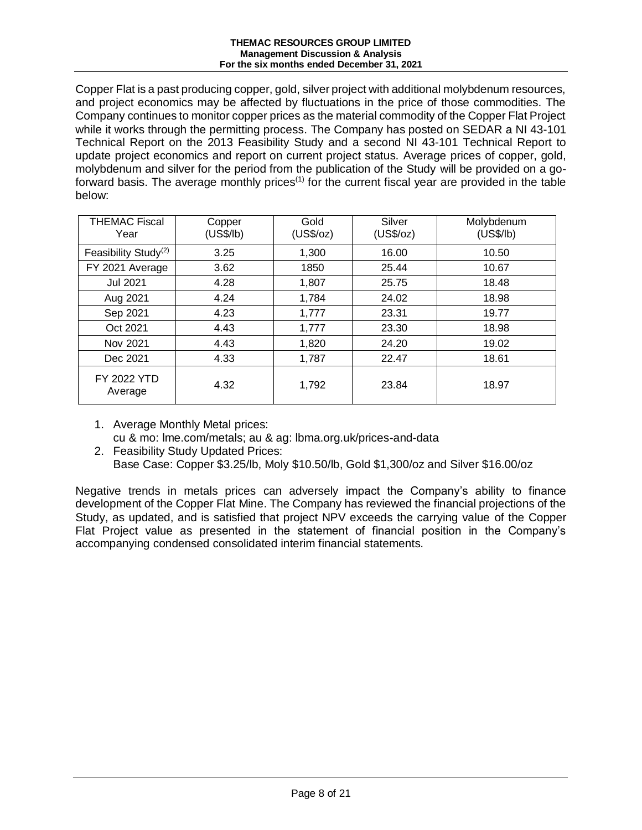Copper Flat is a past producing copper, gold, silver project with additional molybdenum resources, and project economics may be affected by fluctuations in the price of those commodities. The Company continues to monitor copper prices as the material commodity of the Copper Flat Project while it works through the permitting process. The Company has posted on SEDAR a NI 43-101 Technical Report on the 2013 Feasibility Study and a second NI 43-101 Technical Report to update project economics and report on current project status. Average prices of copper, gold, molybdenum and silver for the period from the publication of the Study will be provided on a goforward basis. The average monthly prices<sup>(1)</sup> for the current fiscal year are provided in the table below:

| <b>THEMAC Fiscal</b><br>Year     | Copper<br>(US\$/lb) | Gold<br>(US\$/oz) | Silver<br>(US\$/oz) | Molybdenum<br>(US\$/lb) |
|----------------------------------|---------------------|-------------------|---------------------|-------------------------|
| Feasibility Study <sup>(2)</sup> | 3.25                | 1,300             | 16.00               | 10.50                   |
| FY 2021 Average                  | 3.62                | 1850              | 25.44               | 10.67                   |
| <b>Jul 2021</b>                  | 4.28                | 1,807             | 25.75               | 18.48                   |
| Aug 2021                         | 4.24                | 1,784             | 24.02               | 18.98                   |
| Sep 2021                         | 4.23                | 1,777             | 23.31               | 19.77                   |
| Oct 2021                         | 4.43                | 1,777             | 23.30               | 18.98                   |
| Nov 2021                         | 4.43                | 1,820             | 24.20               | 19.02                   |
| Dec 2021                         | 4.33                | 1,787             | 22.47               | 18.61                   |
| <b>FY 2022 YTD</b><br>Average    | 4.32                | 1,792             | 23.84               | 18.97                   |

- 1. Average Monthly Metal prices: cu & mo: lme.com/metals; au & ag: lbma.org.uk/prices-and-data
- 2. Feasibility Study Updated Prices: Base Case: Copper \$3.25/lb, Moly \$10.50/lb, Gold \$1,300/oz and Silver \$16.00/oz

Negative trends in metals prices can adversely impact the Company's ability to finance development of the Copper Flat Mine. The Company has reviewed the financial projections of the Study, as updated, and is satisfied that project NPV exceeds the carrying value of the Copper Flat Project value as presented in the statement of financial position in the Company's accompanying condensed consolidated interim financial statements.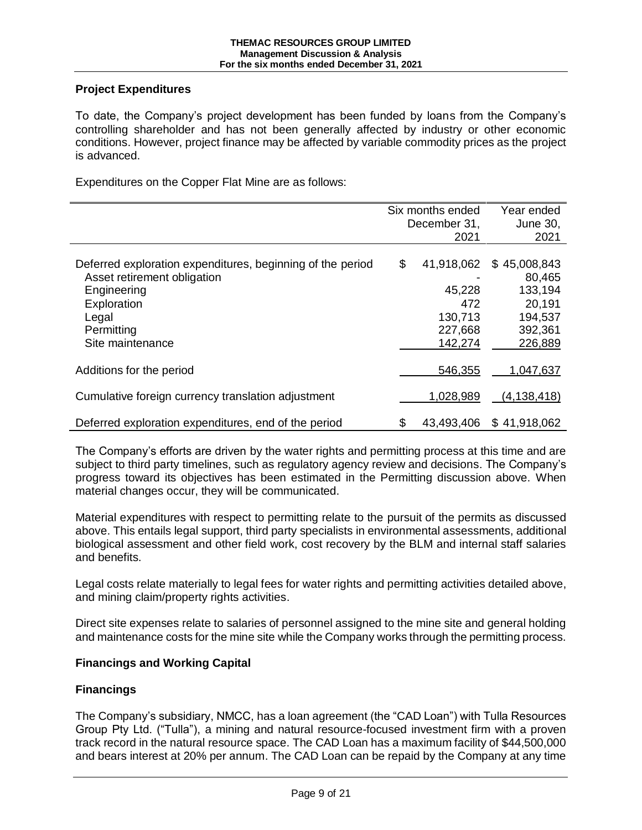# **Project Expenditures**

To date, the Company's project development has been funded by loans from the Company's controlling shareholder and has not been generally affected by industry or other economic conditions. However, project finance may be affected by variable commodity prices as the project is advanced.

Expenditures on the Copper Flat Mine are as follows:

|                                                            | Six months ended<br>December 31, |            | Year ended<br>June 30, |
|------------------------------------------------------------|----------------------------------|------------|------------------------|
|                                                            |                                  | 2021       | 2021                   |
|                                                            |                                  |            |                        |
| Deferred exploration expenditures, beginning of the period | \$                               | 41,918,062 | \$45,008,843           |
| Asset retirement obligation                                |                                  |            | 80,465                 |
| Engineering                                                |                                  | 45,228     | 133,194                |
| Exploration                                                |                                  | 472        | 20,191                 |
| Legal                                                      |                                  | 130,713    | 194,537                |
| Permitting                                                 |                                  | 227,668    | 392,361                |
| Site maintenance                                           |                                  | 142,274    | 226,889                |
|                                                            |                                  |            |                        |
| Additions for the period                                   |                                  | 546,355    | 1,047,637              |
| Cumulative foreign currency translation adjustment         |                                  | 1,028,989  | (4, 138, 418)          |
| Deferred exploration expenditures, end of the period       | \$                               | 43,493,406 | \$41,918,062           |

The Company's efforts are driven by the water rights and permitting process at this time and are subject to third party timelines, such as regulatory agency review and decisions. The Company's progress toward its objectives has been estimated in the Permitting discussion above. When material changes occur, they will be communicated.

Material expenditures with respect to permitting relate to the pursuit of the permits as discussed above. This entails legal support, third party specialists in environmental assessments, additional biological assessment and other field work, cost recovery by the BLM and internal staff salaries and benefits.

Legal costs relate materially to legal fees for water rights and permitting activities detailed above, and mining claim/property rights activities.

Direct site expenses relate to salaries of personnel assigned to the mine site and general holding and maintenance costs for the mine site while the Company works through the permitting process.

# **Financings and Working Capital**

# **Financings**

The Company's subsidiary, NMCC, has a loan agreement (the "CAD Loan") with Tulla Resources Group Pty Ltd. ("Tulla"), a mining and natural resource-focused investment firm with a proven track record in the natural resource space. The CAD Loan has a maximum facility of \$44,500,000 and bears interest at 20% per annum. The CAD Loan can be repaid by the Company at any time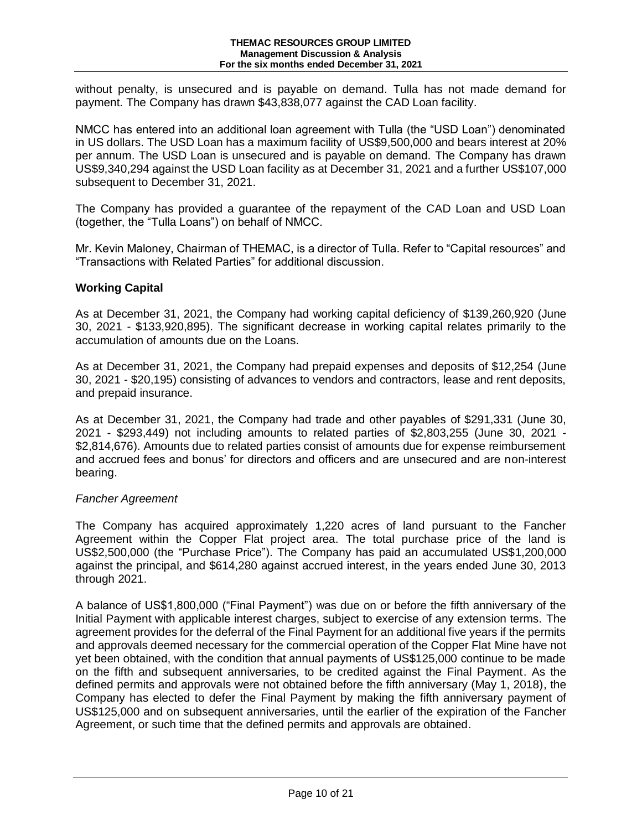without penalty, is unsecured and is payable on demand. Tulla has not made demand for payment. The Company has drawn \$43,838,077 against the CAD Loan facility.

NMCC has entered into an additional loan agreement with Tulla (the "USD Loan") denominated in US dollars. The USD Loan has a maximum facility of US\$9,500,000 and bears interest at 20% per annum. The USD Loan is unsecured and is payable on demand. The Company has drawn US\$9,340,294 against the USD Loan facility as at December 31, 2021 and a further US\$107,000 subsequent to December 31, 2021.

The Company has provided a guarantee of the repayment of the CAD Loan and USD Loan (together, the "Tulla Loans") on behalf of NMCC.

Mr. Kevin Maloney, Chairman of THEMAC, is a director of Tulla. Refer to "Capital resources" and "Transactions with Related Parties" for additional discussion.

# **Working Capital**

As at December 31, 2021, the Company had working capital deficiency of \$139,260,920 (June 30, 2021 - \$133,920,895). The significant decrease in working capital relates primarily to the accumulation of amounts due on the Loans.

As at December 31, 2021, the Company had prepaid expenses and deposits of \$12,254 (June 30, 2021 - \$20,195) consisting of advances to vendors and contractors, lease and rent deposits, and prepaid insurance.

As at December 31, 2021, the Company had trade and other payables of \$291,331 (June 30, 2021 - \$293,449) not including amounts to related parties of \$2,803,255 (June 30, 2021 - \$2,814,676). Amounts due to related parties consist of amounts due for expense reimbursement and accrued fees and bonus' for directors and officers and are unsecured and are non-interest bearing.

# *Fancher Agreement*

The Company has acquired approximately 1,220 acres of land pursuant to the Fancher Agreement within the Copper Flat project area. The total purchase price of the land is US\$2,500,000 (the "Purchase Price"). The Company has paid an accumulated US\$1,200,000 against the principal, and \$614,280 against accrued interest, in the years ended June 30, 2013 through 2021.

A balance of US\$1,800,000 ("Final Payment") was due on or before the fifth anniversary of the Initial Payment with applicable interest charges, subject to exercise of any extension terms. The agreement provides for the deferral of the Final Payment for an additional five years if the permits and approvals deemed necessary for the commercial operation of the Copper Flat Mine have not yet been obtained, with the condition that annual payments of US\$125,000 continue to be made on the fifth and subsequent anniversaries, to be credited against the Final Payment. As the defined permits and approvals were not obtained before the fifth anniversary (May 1, 2018), the Company has elected to defer the Final Payment by making the fifth anniversary payment of US\$125,000 and on subsequent anniversaries, until the earlier of the expiration of the Fancher Agreement, or such time that the defined permits and approvals are obtained.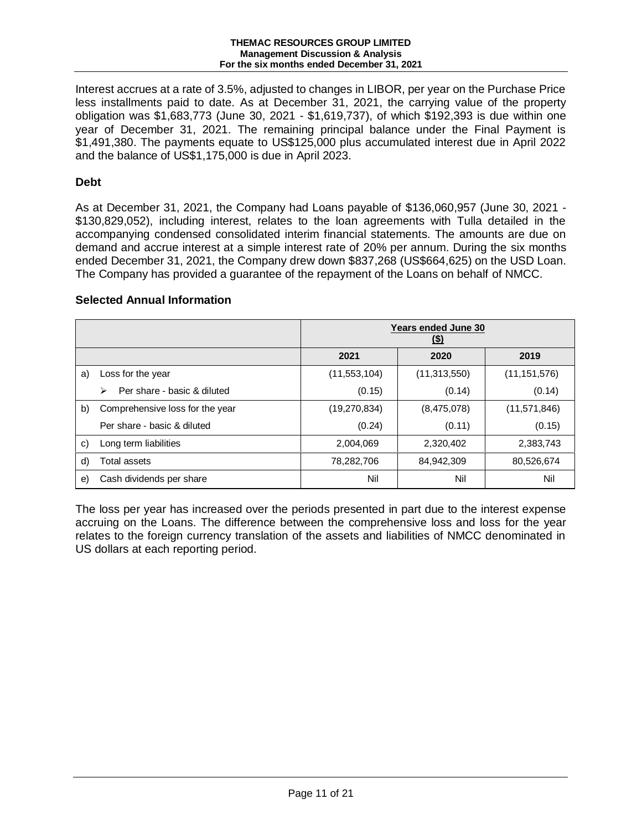Interest accrues at a rate of 3.5%, adjusted to changes in LIBOR, per year on the Purchase Price less installments paid to date. As at December 31, 2021, the carrying value of the property obligation was \$1,683,773 (June 30, 2021 - \$1,619,737), of which \$192,393 is due within one year of December 31, 2021. The remaining principal balance under the Final Payment is \$1,491,380. The payments equate to US\$125,000 plus accumulated interest due in April 2022 and the balance of US\$1,175,000 is due in April 2023.

# **Debt**

As at December 31, 2021, the Company had Loans payable of \$136,060,957 (June 30, 2021 - \$130,829,052), including interest, relates to the loan agreements with Tulla detailed in the accompanying condensed consolidated interim financial statements. The amounts are due on demand and accrue interest at a simple interest rate of 20% per annum. During the six months ended December 31, 2021, the Company drew down \$837,268 (US\$664,625) on the USD Loan. The Company has provided a guarantee of the repayment of the Loans on behalf of NMCC.

# **Selected Annual Information**

|    |                                  | <b>Years ended June 30</b><br><u>(\$)</u> |                |                |  |  |
|----|----------------------------------|-------------------------------------------|----------------|----------------|--|--|
|    |                                  | 2021                                      | 2020           | 2019           |  |  |
| a) | Loss for the year                | (11, 553, 104)                            | (11, 313, 550) | (11, 151, 576) |  |  |
|    | Per share - basic & diluted<br>⋗ | (0.15)                                    | (0.14)         | (0.14)         |  |  |
| b) | Comprehensive loss for the year  | (19,270,834)                              | (8,475,078)    | (11, 571, 846) |  |  |
|    | Per share - basic & diluted      | (0.24)                                    | (0.11)         | (0.15)         |  |  |
| C) | Long term liabilities            | 2,004,069                                 | 2,320,402      | 2,383,743      |  |  |
| d) | Total assets                     | 78,282,706                                | 84,942,309     | 80,526,674     |  |  |
| e) | Cash dividends per share         | Nil                                       | Nil            | Nil            |  |  |

The loss per year has increased over the periods presented in part due to the interest expense accruing on the Loans. The difference between the comprehensive loss and loss for the year relates to the foreign currency translation of the assets and liabilities of NMCC denominated in US dollars at each reporting period.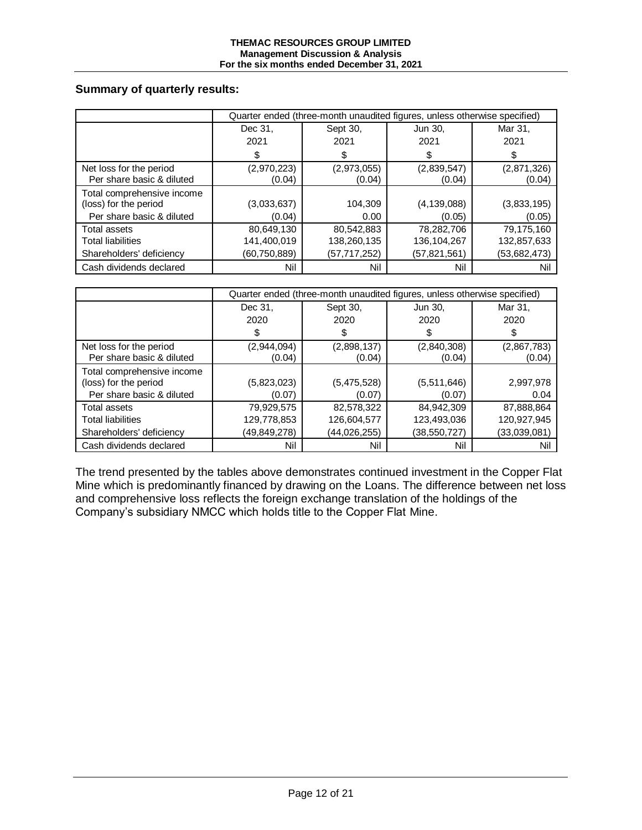# **Summary of quarterly results:**

|                                                      | Quarter ended (three-month unaudited figures, unless otherwise specified) |                       |                       |                       |  |
|------------------------------------------------------|---------------------------------------------------------------------------|-----------------------|-----------------------|-----------------------|--|
|                                                      | Dec 31,                                                                   | Sept 30,              | Jun 30,               | Mar 31,               |  |
|                                                      | 2021                                                                      | 2021                  | 2021                  | 2021                  |  |
|                                                      | \$                                                                        | \$                    |                       | \$                    |  |
| Net loss for the period<br>Per share basic & diluted | (2,970,223)<br>(0.04)                                                     | (2,973,055)<br>(0.04) | (2,839,547)<br>(0.04) | (2,871,326)<br>(0.04) |  |
| Total comprehensive income<br>(loss) for the period  | (3,033,637)                                                               | 104,309               | (4, 139, 088)         | (3,833,195)           |  |
| Per share basic & diluted                            | (0.04)                                                                    | 0.00                  | (0.05)                | (0.05)                |  |
| Total assets                                         | 80,649,130                                                                | 80,542,883            | 78,282,706            | 79,175,160            |  |
| <b>Total liabilities</b>                             | 141,400,019                                                               | 138,260,135           | 136,104,267           | 132,857,633           |  |
| Shareholders' deficiency                             | (60,750,889)                                                              | (57,717,252)          | (57,821,561)          | (53,682,473)          |  |
| Cash dividends declared                              | Nil                                                                       | Nil                   | Nil                   | Nil                   |  |

|                                                                                  | Quarter ended (three-month unaudited figures, unless otherwise specified) |                                           |                                           |                                           |  |  |
|----------------------------------------------------------------------------------|---------------------------------------------------------------------------|-------------------------------------------|-------------------------------------------|-------------------------------------------|--|--|
|                                                                                  | Dec 31,                                                                   | Sept 30,                                  | Jun 30,                                   | Mar 31,                                   |  |  |
|                                                                                  | 2020                                                                      | 2020                                      | 2020                                      | 2020                                      |  |  |
|                                                                                  | \$                                                                        | \$                                        |                                           | S                                         |  |  |
| Net loss for the period<br>Per share basic & diluted                             | (2,944,094)<br>(0.04)                                                     | (2,898,137)<br>(0.04)                     | (2,840,308)<br>(0.04)                     | (2,867,783)<br>(0.04)                     |  |  |
| Total comprehensive income<br>(loss) for the period<br>Per share basic & diluted | (5,823,023)<br>(0.07)                                                     | (5,475,528)<br>(0.07)                     | (5,511,646)<br>(0.07)                     | 2,997,978<br>0.04                         |  |  |
| Total assets<br><b>Total liabilities</b><br>Shareholders' deficiency             | 79,929,575<br>129,778,853<br>(49,849,278)                                 | 82,578,322<br>126,604,577<br>(44,026,255) | 84,942,309<br>123,493,036<br>(38,550,727) | 87,888,864<br>120,927,945<br>(33,039,081) |  |  |
| Cash dividends declared                                                          | Nil                                                                       | Nil                                       | Nil                                       | Nil                                       |  |  |

The trend presented by the tables above demonstrates continued investment in the Copper Flat Mine which is predominantly financed by drawing on the Loans. The difference between net loss and comprehensive loss reflects the foreign exchange translation of the holdings of the Company's subsidiary NMCC which holds title to the Copper Flat Mine.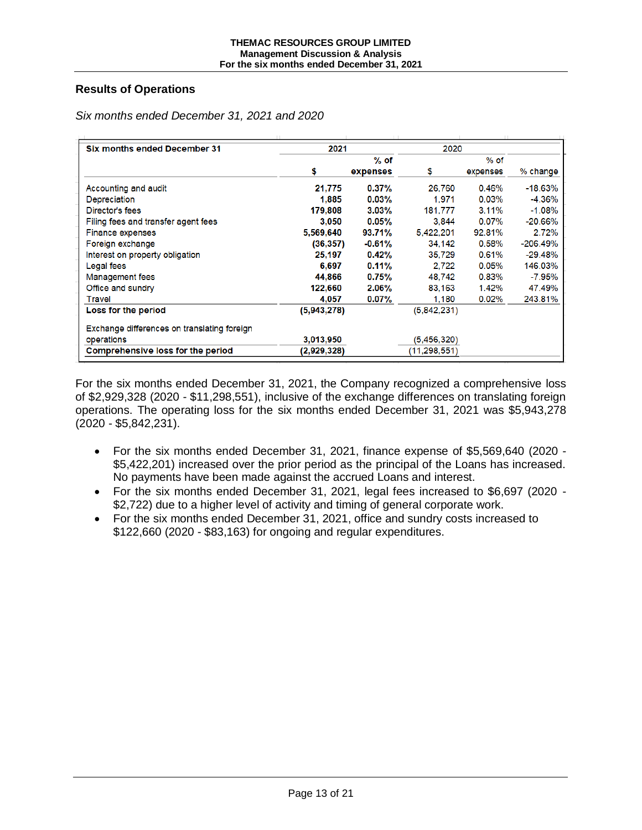# **Results of Operations**

| 2021        |          |              |          |            |
|-------------|----------|--------------|----------|------------|
|             | $%$ of   |              | $%$ of   |            |
| \$          | expenses | \$           | expenses | % change   |
| 21,775      | $0.37\%$ | 26.760       | 0.46%    | $-18.63%$  |
| 1,885       | 0.03%    | 1.971        | 0.03%    | $-4.36%$   |
| 179,808     | $3.03\%$ | 181.777      | 3.11%    | $-1.08%$   |
| 3.050       | $0.05\%$ | 3.844        | $0.07\%$ | $-20.66%$  |
| 5,569,640   | 93.71%   | 5.422.201    | 92.81%   | 2.72%      |
| (36, 357)   | $-0.61%$ | 34.142       | 0.58%    | $-206.49%$ |
| 25,197      | 0.42%    | 35,729       | 0.61%    | $-29.48%$  |
| 6,697       | 0.11%    | 2.722        | 0.05%    | 146.03%    |
| 44,866      | 0.75%    | 48.742       | 0.83%    | $-7.95%$   |
| 122,660     | $2.06\%$ | 83,163       | 1.42%    | 47.49%     |
| 4,057       | $0.07\%$ | 1,180        | $0.02\%$ | 243.81%    |
| (5,943,278) |          | (5,842,231)  |          |            |
|             |          |              |          |            |
| 3,013,950   |          | (5,456,320)  |          |            |
| (2,929,328) |          | (11,298,551) |          |            |
|             |          |              |          | 2020       |

*Six months ended December 31, 2021 and 2020*

For the six months ended December 31, 2021, the Company recognized a comprehensive loss of \$2,929,328 (2020 - \$11,298,551), inclusive of the exchange differences on translating foreign operations. The operating loss for the six months ended December 31, 2021 was \$5,943,278 (2020 - \$5,842,231).

- For the six months ended December 31, 2021, finance expense of \$5,569,640 (2020 \$5,422,201) increased over the prior period as the principal of the Loans has increased. No payments have been made against the accrued Loans and interest.
- For the six months ended December 31, 2021, legal fees increased to \$6,697 (2020 \$2,722) due to a higher level of activity and timing of general corporate work.
- For the six months ended December 31, 2021, office and sundry costs increased to \$122,660 (2020 - \$83,163) for ongoing and regular expenditures.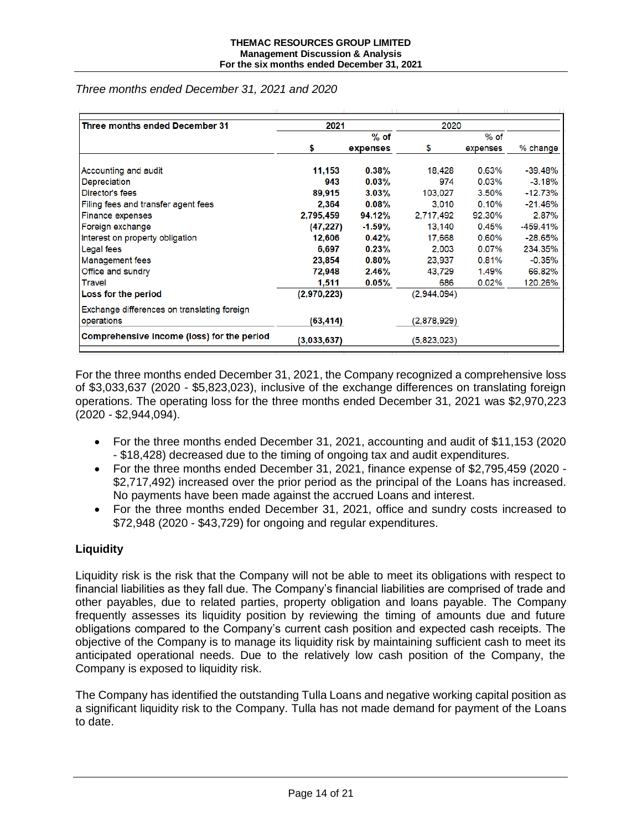| Three months ended December 31              | 2021        |           | 2020        |          |            |  |
|---------------------------------------------|-------------|-----------|-------------|----------|------------|--|
|                                             | $%$ of      |           | $%$ of      |          |            |  |
|                                             | \$          | expenses  | \$          | expenses | % change   |  |
| Accounting and audit                        | 11,153      | 0.38%     | 18.428      | 0.63%    | $-39.48%$  |  |
| Depreciation                                | 943         | 0.03%     | 974         | 0.03%    | $-3.18%$   |  |
| Director's fees                             | 89,915      | $3.03\%$  | 103.027     | 3.50%    | $-12.73%$  |  |
| Filing fees and transfer agent fees         | 2,364       | $0.08\%$  | 3.010       | 0.10%    | $-21.46%$  |  |
| <b>Finance expenses</b>                     | 2,795,459   | 94.12%    | 2,717,492   | 92.30%   | 2.87%      |  |
| Foreign exchange                            | (47, 227)   | $-1.59\%$ | 13,140      | 0.45%    | $-459.41%$ |  |
| Interest on property obligation             | 12,606      | 0.42%     | 17.668      | 0.60%    | $-28.65%$  |  |
| Legal fees                                  | 6,697       | 0.23%     | 2.003       | 0.07%    | 234.35%    |  |
| <b>Management fees</b>                      | 23,854      | 0.80%     | 23.937      | 0.81%    | $-0.35%$   |  |
| Office and sundry                           | 72,948      | 2.46%     | 43.729      | 1.49%    | 66.82%     |  |
| Travel                                      | 1,511       | 0.05%     | 686         | 0.02%    | 120.26%    |  |
| Loss for the period                         | (2,970,223) |           | (2,944,094) |          |            |  |
| Exchange differences on translating foreign |             |           |             |          |            |  |
| operations                                  | (63, 414)   |           | (2,878,929) |          |            |  |
| Comprehensive income (loss) for the period  | (3,033,637) |           | (5,823,023) |          |            |  |

*Three months ended December 31, 2021 and 2020*

For the three months ended December 31, 2021, the Company recognized a comprehensive loss of \$3,033,637 (2020 - \$5,823,023), inclusive of the exchange differences on translating foreign operations. The operating loss for the three months ended December 31, 2021 was \$2,970,223 (2020 - \$2,944,094).

- For the three months ended December 31, 2021, accounting and audit of \$11,153 (2020 - \$18,428) decreased due to the timing of ongoing tax and audit expenditures.
- For the three months ended December 31, 2021, finance expense of \$2,795,459 (2020 \$2,717,492) increased over the prior period as the principal of the Loans has increased. No payments have been made against the accrued Loans and interest.
- For the three months ended December 31, 2021, office and sundry costs increased to \$72,948 (2020 - \$43,729) for ongoing and regular expenditures.

# **Liquidity**

Liquidity risk is the risk that the Company will not be able to meet its obligations with respect to financial liabilities as they fall due. The Company's financial liabilities are comprised of trade and other payables, due to related parties, property obligation and loans payable. The Company frequently assesses its liquidity position by reviewing the timing of amounts due and future obligations compared to the Company's current cash position and expected cash receipts. The objective of the Company is to manage its liquidity risk by maintaining sufficient cash to meet its anticipated operational needs. Due to the relatively low cash position of the Company, the Company is exposed to liquidity risk.

The Company has identified the outstanding Tulla Loans and negative working capital position as a significant liquidity risk to the Company. Tulla has not made demand for payment of the Loans to date.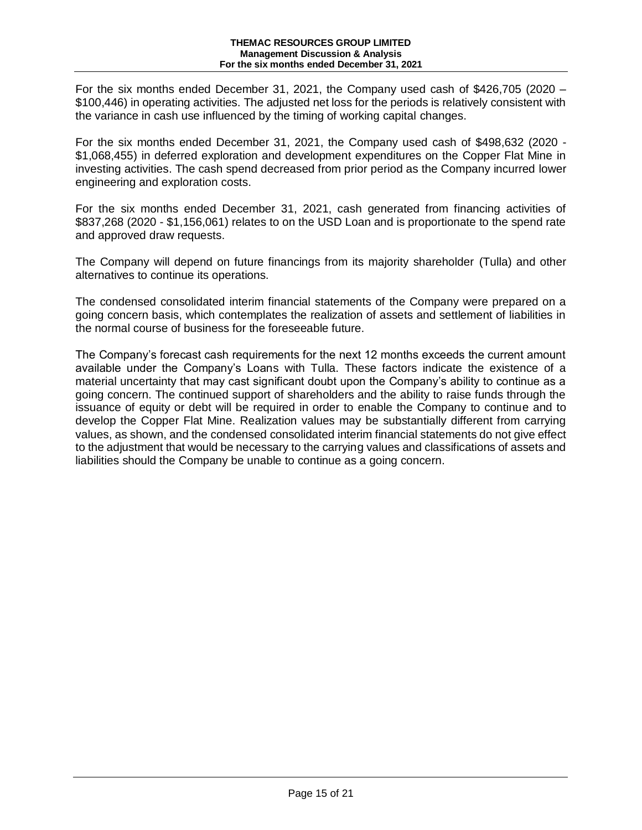For the six months ended December 31, 2021, the Company used cash of \$426,705 (2020 – \$100,446) in operating activities. The adjusted net loss for the periods is relatively consistent with the variance in cash use influenced by the timing of working capital changes.

For the six months ended December 31, 2021, the Company used cash of \$498,632 (2020 - \$1,068,455) in deferred exploration and development expenditures on the Copper Flat Mine in investing activities. The cash spend decreased from prior period as the Company incurred lower engineering and exploration costs.

For the six months ended December 31, 2021, cash generated from financing activities of \$837,268 (2020 - \$1,156,061) relates to on the USD Loan and is proportionate to the spend rate and approved draw requests.

The Company will depend on future financings from its majority shareholder (Tulla) and other alternatives to continue its operations.

The condensed consolidated interim financial statements of the Company were prepared on a going concern basis, which contemplates the realization of assets and settlement of liabilities in the normal course of business for the foreseeable future.

The Company's forecast cash requirements for the next 12 months exceeds the current amount available under the Company's Loans with Tulla. These factors indicate the existence of a material uncertainty that may cast significant doubt upon the Company's ability to continue as a going concern. The continued support of shareholders and the ability to raise funds through the issuance of equity or debt will be required in order to enable the Company to continue and to develop the Copper Flat Mine. Realization values may be substantially different from carrying values, as shown, and the condensed consolidated interim financial statements do not give effect to the adjustment that would be necessary to the carrying values and classifications of assets and liabilities should the Company be unable to continue as a going concern.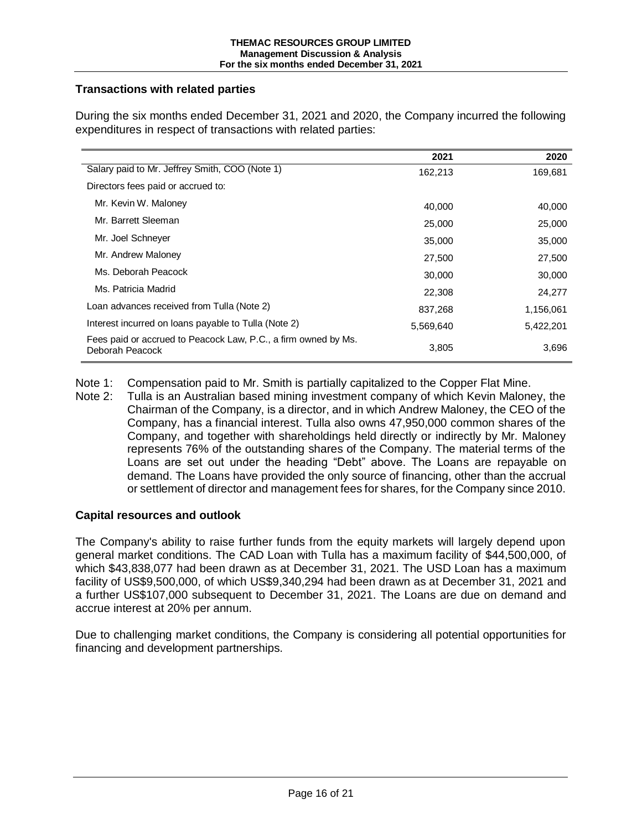# **Transactions with related parties**

|                                                                                   | 2021      | 2020      |
|-----------------------------------------------------------------------------------|-----------|-----------|
| Salary paid to Mr. Jeffrey Smith, COO (Note 1)                                    | 162,213   | 169,681   |
| Directors fees paid or accrued to:                                                |           |           |
| Mr. Kevin W. Maloney                                                              | 40.000    | 40,000    |
| Mr. Barrett Sleeman                                                               | 25,000    | 25,000    |
| Mr. Joel Schneyer                                                                 | 35,000    | 35,000    |
| Mr. Andrew Maloney                                                                | 27,500    | 27,500    |
| Ms. Deborah Peacock                                                               | 30,000    | 30,000    |
| Ms. Patricia Madrid                                                               | 22,308    | 24,277    |
| Loan advances received from Tulla (Note 2)                                        | 837,268   | 1,156,061 |
| Interest incurred on loans payable to Tulla (Note 2)                              | 5,569,640 | 5,422,201 |
| Fees paid or accrued to Peacock Law, P.C., a firm owned by Ms.<br>Deborah Peacock | 3,805     | 3,696     |

During the six months ended December 31, 2021 and 2020, the Company incurred the following expenditures in respect of transactions with related parties:

Note 1: Compensation paid to Mr. Smith is partially capitalized to the Copper Flat Mine.

Note 2: Tulla is an Australian based mining investment company of which Kevin Maloney, the Chairman of the Company, is a director, and in which Andrew Maloney, the CEO of the Company, has a financial interest. Tulla also owns 47,950,000 common shares of the Company, and together with shareholdings held directly or indirectly by Mr. Maloney represents 76% of the outstanding shares of the Company. The material terms of the Loans are set out under the heading "Debt" above. The Loans are repayable on demand. The Loans have provided the only source of financing, other than the accrual or settlement of director and management fees for shares, for the Company since 2010.

# **Capital resources and outlook**

The Company's ability to raise further funds from the equity markets will largely depend upon general market conditions. The CAD Loan with Tulla has a maximum facility of \$44,500,000, of which \$43,838,077 had been drawn as at December 31, 2021. The USD Loan has a maximum facility of US\$9,500,000, of which US\$9,340,294 had been drawn as at December 31, 2021 and a further US\$107,000 subsequent to December 31, 2021. The Loans are due on demand and accrue interest at 20% per annum.

Due to challenging market conditions, the Company is considering all potential opportunities for financing and development partnerships.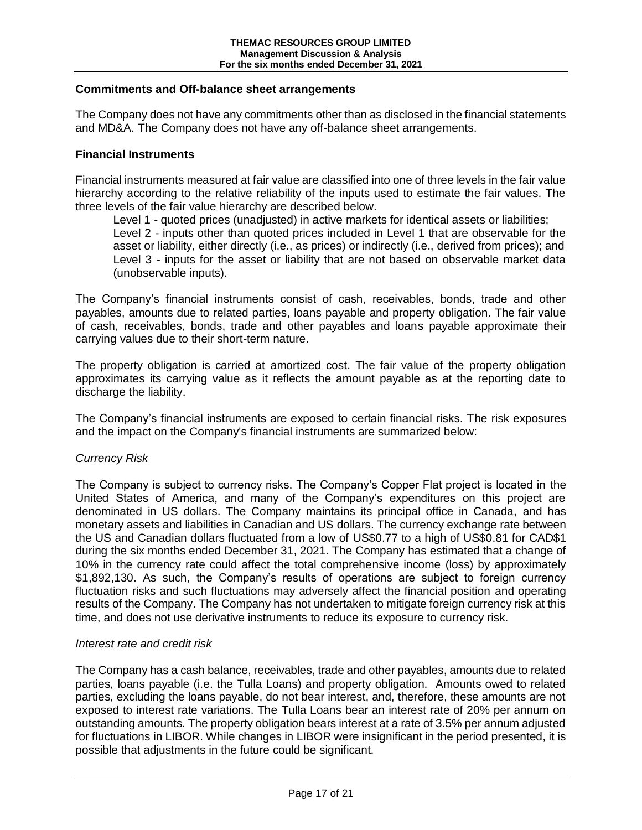# **Commitments and Off-balance sheet arrangements**

The Company does not have any commitments other than as disclosed in the financial statements and MD&A. The Company does not have any off-balance sheet arrangements.

### **Financial Instruments**

Financial instruments measured at fair value are classified into one of three levels in the fair value hierarchy according to the relative reliability of the inputs used to estimate the fair values. The three levels of the fair value hierarchy are described below.

Level 1 - quoted prices (unadjusted) in active markets for identical assets or liabilities; Level 2 - inputs other than quoted prices included in Level 1 that are observable for the asset or liability, either directly (i.e., as prices) or indirectly (i.e., derived from prices); and Level 3 - inputs for the asset or liability that are not based on observable market data (unobservable inputs).

The Company's financial instruments consist of cash, receivables, bonds, trade and other payables, amounts due to related parties, loans payable and property obligation. The fair value of cash, receivables, bonds, trade and other payables and loans payable approximate their carrying values due to their short-term nature.

The property obligation is carried at amortized cost. The fair value of the property obligation approximates its carrying value as it reflects the amount payable as at the reporting date to discharge the liability.

The Company's financial instruments are exposed to certain financial risks. The risk exposures and the impact on the Company's financial instruments are summarized below:

#### *Currency Risk*

The Company is subject to currency risks. The Company's Copper Flat project is located in the United States of America, and many of the Company's expenditures on this project are denominated in US dollars. The Company maintains its principal office in Canada, and has monetary assets and liabilities in Canadian and US dollars. The currency exchange rate between the US and Canadian dollars fluctuated from a low of US\$0.77 to a high of US\$0.81 for CAD\$1 during the six months ended December 31, 2021. The Company has estimated that a change of 10% in the currency rate could affect the total comprehensive income (loss) by approximately \$1,892,130. As such, the Company's results of operations are subject to foreign currency fluctuation risks and such fluctuations may adversely affect the financial position and operating results of the Company. The Company has not undertaken to mitigate foreign currency risk at this time, and does not use derivative instruments to reduce its exposure to currency risk.

#### *Interest rate and credit risk*

The Company has a cash balance, receivables, trade and other payables, amounts due to related parties, loans payable (i.e. the Tulla Loans) and property obligation. Amounts owed to related parties, excluding the loans payable, do not bear interest, and, therefore, these amounts are not exposed to interest rate variations. The Tulla Loans bear an interest rate of 20% per annum on outstanding amounts. The property obligation bears interest at a rate of 3.5% per annum adjusted for fluctuations in LIBOR. While changes in LIBOR were insignificant in the period presented, it is possible that adjustments in the future could be significant.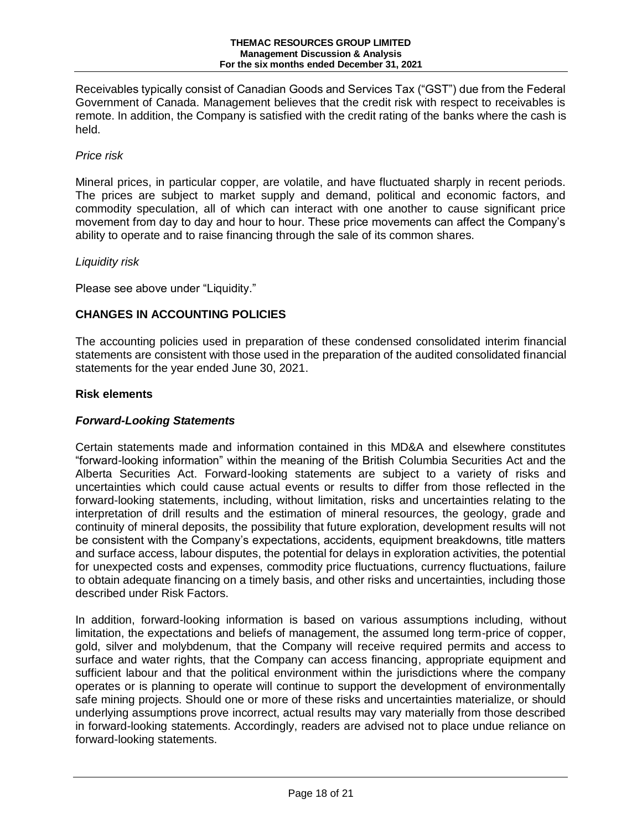Receivables typically consist of Canadian Goods and Services Tax ("GST") due from the Federal Government of Canada. Management believes that the credit risk with respect to receivables is remote. In addition, the Company is satisfied with the credit rating of the banks where the cash is held.

# *Price risk*

Mineral prices, in particular copper, are volatile, and have fluctuated sharply in recent periods. The prices are subject to market supply and demand, political and economic factors, and commodity speculation, all of which can interact with one another to cause significant price movement from day to day and hour to hour. These price movements can affect the Company's ability to operate and to raise financing through the sale of its common shares.

# *Liquidity risk*

Please see above under "Liquidity."

# **CHANGES IN ACCOUNTING POLICIES**

The accounting policies used in preparation of these condensed consolidated interim financial statements are consistent with those used in the preparation of the audited consolidated financial statements for the year ended June 30, 2021.

# **Risk elements**

# *Forward-Looking Statements*

Certain statements made and information contained in this MD&A and elsewhere constitutes "forward-looking information" within the meaning of the British Columbia Securities Act and the Alberta Securities Act. Forward-looking statements are subject to a variety of risks and uncertainties which could cause actual events or results to differ from those reflected in the forward-looking statements, including, without limitation, risks and uncertainties relating to the interpretation of drill results and the estimation of mineral resources, the geology, grade and continuity of mineral deposits, the possibility that future exploration, development results will not be consistent with the Company's expectations, accidents, equipment breakdowns, title matters and surface access, labour disputes, the potential for delays in exploration activities, the potential for unexpected costs and expenses, commodity price fluctuations, currency fluctuations, failure to obtain adequate financing on a timely basis, and other risks and uncertainties, including those described under Risk Factors.

In addition, forward-looking information is based on various assumptions including, without limitation, the expectations and beliefs of management, the assumed long term-price of copper, gold, silver and molybdenum, that the Company will receive required permits and access to surface and water rights, that the Company can access financing, appropriate equipment and sufficient labour and that the political environment within the jurisdictions where the company operates or is planning to operate will continue to support the development of environmentally safe mining projects. Should one or more of these risks and uncertainties materialize, or should underlying assumptions prove incorrect, actual results may vary materially from those described in forward-looking statements. Accordingly, readers are advised not to place undue reliance on forward-looking statements.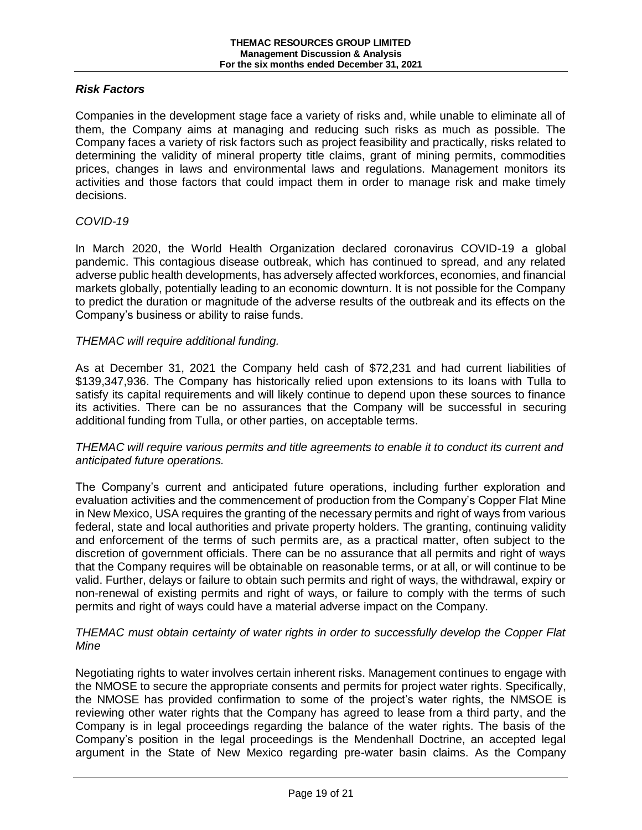# *Risk Factors*

Companies in the development stage face a variety of risks and, while unable to eliminate all of them, the Company aims at managing and reducing such risks as much as possible. The Company faces a variety of risk factors such as project feasibility and practically, risks related to determining the validity of mineral property title claims, grant of mining permits, commodities prices, changes in laws and environmental laws and regulations. Management monitors its activities and those factors that could impact them in order to manage risk and make timely decisions.

# *COVID-19*

In March 2020, the World Health Organization declared coronavirus COVID-19 a global pandemic. This contagious disease outbreak, which has continued to spread, and any related adverse public health developments, has adversely affected workforces, economies, and financial markets globally, potentially leading to an economic downturn. It is not possible for the Company to predict the duration or magnitude of the adverse results of the outbreak and its effects on the Company's business or ability to raise funds.

# *THEMAC will require additional funding.*

As at December 31, 2021 the Company held cash of \$72,231 and had current liabilities of \$139,347,936. The Company has historically relied upon extensions to its loans with Tulla to satisfy its capital requirements and will likely continue to depend upon these sources to finance its activities. There can be no assurances that the Company will be successful in securing additional funding from Tulla, or other parties, on acceptable terms.

# *THEMAC will require various permits and title agreements to enable it to conduct its current and anticipated future operations.*

The Company's current and anticipated future operations, including further exploration and evaluation activities and the commencement of production from the Company's Copper Flat Mine in New Mexico, USA requires the granting of the necessary permits and right of ways from various federal, state and local authorities and private property holders. The granting, continuing validity and enforcement of the terms of such permits are, as a practical matter, often subject to the discretion of government officials. There can be no assurance that all permits and right of ways that the Company requires will be obtainable on reasonable terms, or at all, or will continue to be valid. Further, delays or failure to obtain such permits and right of ways, the withdrawal, expiry or non-renewal of existing permits and right of ways, or failure to comply with the terms of such permits and right of ways could have a material adverse impact on the Company.

# *THEMAC must obtain certainty of water rights in order to successfully develop the Copper Flat Mine*

Negotiating rights to water involves certain inherent risks. Management continues to engage with the NMOSE to secure the appropriate consents and permits for project water rights. Specifically, the NMOSE has provided confirmation to some of the project's water rights, the NMSOE is reviewing other water rights that the Company has agreed to lease from a third party, and the Company is in legal proceedings regarding the balance of the water rights. The basis of the Company's position in the legal proceedings is the Mendenhall Doctrine, an accepted legal argument in the State of New Mexico regarding pre-water basin claims. As the Company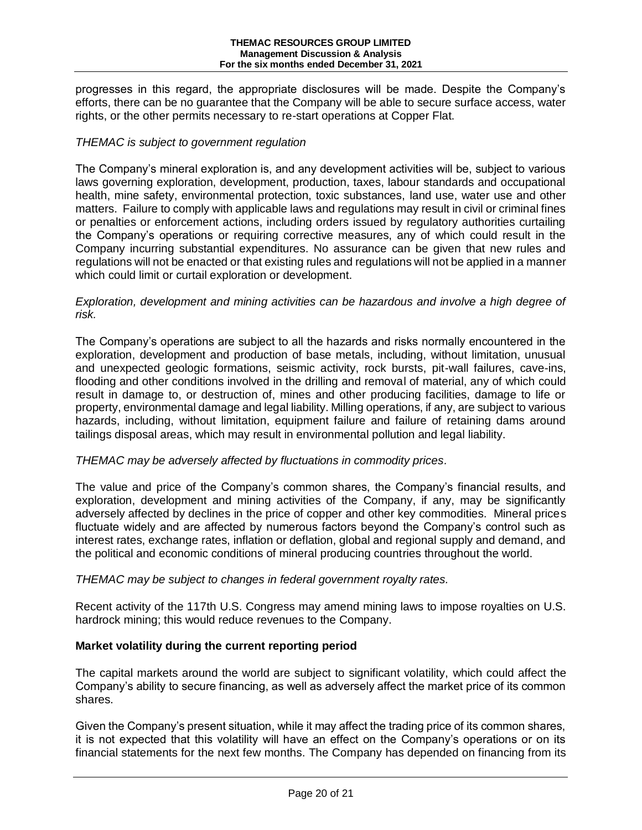progresses in this regard, the appropriate disclosures will be made. Despite the Company's efforts, there can be no guarantee that the Company will be able to secure surface access, water rights, or the other permits necessary to re-start operations at Copper Flat.

# *THEMAC is subject to government regulation*

The Company's mineral exploration is, and any development activities will be, subject to various laws governing exploration, development, production, taxes, labour standards and occupational health, mine safety, environmental protection, toxic substances, land use, water use and other matters. Failure to comply with applicable laws and regulations may result in civil or criminal fines or penalties or enforcement actions, including orders issued by regulatory authorities curtailing the Company's operations or requiring corrective measures, any of which could result in the Company incurring substantial expenditures. No assurance can be given that new rules and regulations will not be enacted or that existing rules and regulations will not be applied in a manner which could limit or curtail exploration or development.

*Exploration, development and mining activities can be hazardous and involve a high degree of risk.*

The Company's operations are subject to all the hazards and risks normally encountered in the exploration, development and production of base metals, including, without limitation, unusual and unexpected geologic formations, seismic activity, rock bursts, pit-wall failures, cave-ins, flooding and other conditions involved in the drilling and removal of material, any of which could result in damage to, or destruction of, mines and other producing facilities, damage to life or property, environmental damage and legal liability. Milling operations, if any, are subject to various hazards, including, without limitation, equipment failure and failure of retaining dams around tailings disposal areas, which may result in environmental pollution and legal liability.

# *THEMAC may be adversely affected by fluctuations in commodity prices.*

The value and price of the Company's common shares, the Company's financial results, and exploration, development and mining activities of the Company, if any, may be significantly adversely affected by declines in the price of copper and other key commodities. Mineral prices fluctuate widely and are affected by numerous factors beyond the Company's control such as interest rates, exchange rates, inflation or deflation, global and regional supply and demand, and the political and economic conditions of mineral producing countries throughout the world.

# *THEMAC may be subject to changes in federal government royalty rates.*

Recent activity of the 117th U.S. Congress may amend mining laws to impose royalties on U.S. hardrock mining; this would reduce revenues to the Company.

# **Market volatility during the current reporting period**

The capital markets around the world are subject to significant volatility, which could affect the Company's ability to secure financing, as well as adversely affect the market price of its common shares.

Given the Company's present situation, while it may affect the trading price of its common shares, it is not expected that this volatility will have an effect on the Company's operations or on its financial statements for the next few months. The Company has depended on financing from its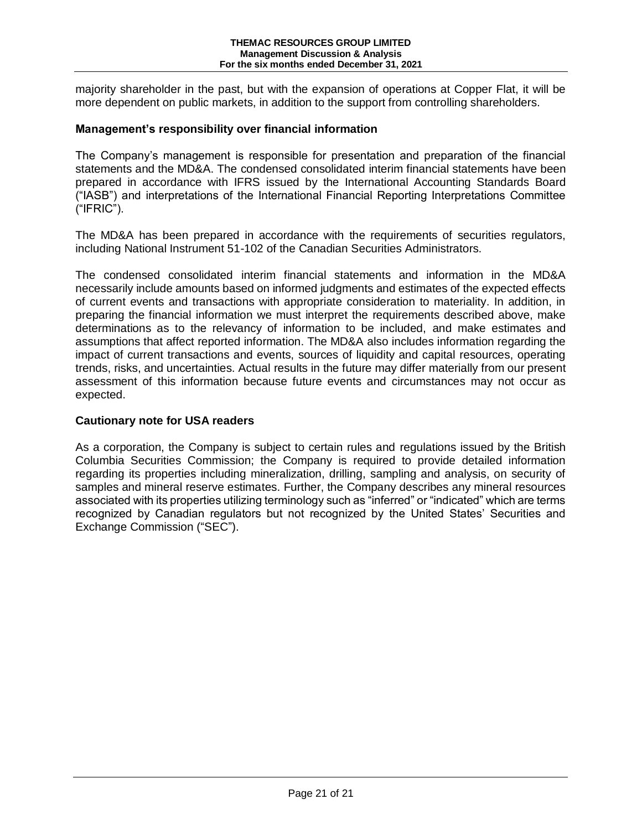majority shareholder in the past, but with the expansion of operations at Copper Flat, it will be more dependent on public markets, in addition to the support from controlling shareholders.

# **Management's responsibility over financial information**

The Company's management is responsible for presentation and preparation of the financial statements and the MD&A. The condensed consolidated interim financial statements have been prepared in accordance with IFRS issued by the International Accounting Standards Board ("IASB") and interpretations of the International Financial Reporting Interpretations Committee ("IFRIC").

The MD&A has been prepared in accordance with the requirements of securities regulators, including National Instrument 51-102 of the Canadian Securities Administrators.

The condensed consolidated interim financial statements and information in the MD&A necessarily include amounts based on informed judgments and estimates of the expected effects of current events and transactions with appropriate consideration to materiality. In addition, in preparing the financial information we must interpret the requirements described above, make determinations as to the relevancy of information to be included, and make estimates and assumptions that affect reported information. The MD&A also includes information regarding the impact of current transactions and events, sources of liquidity and capital resources, operating trends, risks, and uncertainties. Actual results in the future may differ materially from our present assessment of this information because future events and circumstances may not occur as expected.

# **Cautionary note for USA readers**

As a corporation, the Company is subject to certain rules and regulations issued by the British Columbia Securities Commission; the Company is required to provide detailed information regarding its properties including mineralization, drilling, sampling and analysis, on security of samples and mineral reserve estimates. Further, the Company describes any mineral resources associated with its properties utilizing terminology such as "inferred" or "indicated" which are terms recognized by Canadian regulators but not recognized by the United States' Securities and Exchange Commission ("SEC").